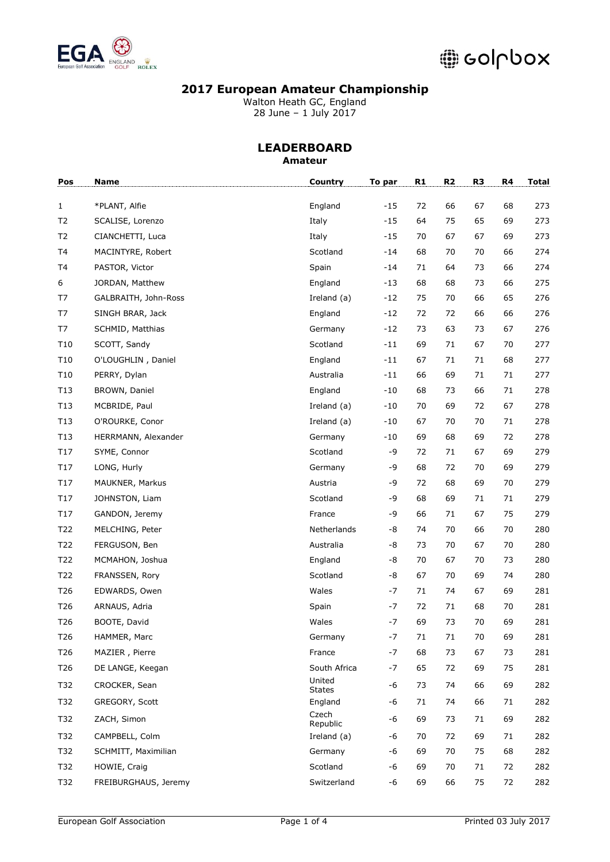

Walton Heath GC, England 28 June – 1 July 2017

### **LEADERBOARD Amateur**

| Pos             | Name                 | Country                 | To par | R1 | R2     | R <sub>3</sub> | R4 | <b>Total</b> |
|-----------------|----------------------|-------------------------|--------|----|--------|----------------|----|--------------|
| $\mathbf{1}$    | *PLANT, Alfie        | England                 | $-15$  | 72 | 66     | 67             | 68 | 273          |
| T <sub>2</sub>  | SCALISE, Lorenzo     | Italy                   | $-15$  | 64 | 75     | 65             | 69 | 273          |
| T <sub>2</sub>  | CIANCHETTI, Luca     | Italy                   | $-15$  | 70 | 67     | 67             | 69 | 273          |
| T <sub>4</sub>  | MACINTYRE, Robert    | Scotland                | $-14$  | 68 | 70     | 70             | 66 | 274          |
| T <sub>4</sub>  | PASTOR, Victor       | Spain                   | -14    | 71 | 64     | 73             | 66 | 274          |
| 6               | JORDAN, Matthew      | England                 | -13    | 68 | 68     | 73             | 66 | 275          |
| T7              | GALBRAITH, John-Ross | Ireland (a)             | -12    | 75 | 70     | 66             | 65 | 276          |
| T7              | SINGH BRAR, Jack     | England                 | -12    | 72 | 72     | 66             | 66 | 276          |
| T7              | SCHMID, Matthias     | Germany                 | $-12$  | 73 | 63     | 73             | 67 | 276          |
| T <sub>10</sub> | SCOTT, Sandy         | Scotland                | $-11$  | 69 | 71     | 67             | 70 | 277          |
| T10             | O'LOUGHLIN, Daniel   | England                 | -11    | 67 | 71     | 71             | 68 | 277          |
| T10             | PERRY, Dylan         | Australia               | -11    | 66 | 69     | 71             | 71 | 277          |
| T13             | BROWN, Daniel        | England                 | -10    | 68 | 73     | 66             | 71 | 278          |
| T13             | MCBRIDE, Paul        | Ireland (a)             | $-10$  | 70 | 69     | 72             | 67 | 278          |
| T13             | O'ROURKE, Conor      | Ireland (a)             | $-10$  | 67 | 70     | 70             | 71 | 278          |
| T13             | HERRMANN, Alexander  | Germany                 | $-10$  | 69 | 68     | 69             | 72 | 278          |
| T17             | SYME, Connor         | Scotland                | -9     | 72 | 71     | 67             | 69 | 279          |
| T17             | LONG, Hurly          | Germany                 | -9     | 68 | 72     | 70             | 69 | 279          |
| T17             | MAUKNER, Markus      | Austria                 | -9     | 72 | 68     | 69             | 70 | 279          |
| T17             | JOHNSTON, Liam       | Scotland                | -9     | 68 | 69     | 71             | 71 | 279          |
| T17             | GANDON, Jeremy       | France                  | -9     | 66 | 71     | 67             | 75 | 279          |
| T22             | MELCHING, Peter      | Netherlands             | -8     | 74 | 70     | 66             | 70 | 280          |
| T22             | FERGUSON, Ben        | Australia               | -8     | 73 | 70     | 67             | 70 | 280          |
| T22             | MCMAHON, Joshua      | England                 | -8     | 70 | 67     | 70             | 73 | 280          |
| T22             | FRANSSEN, Rory       | Scotland                | -8     | 67 | 70     | 69             | 74 | 280          |
| T26             | EDWARDS, Owen        | Wales                   | -7     | 71 | 74     | 67             | 69 | 281          |
| T <sub>26</sub> | ARNAUS, Adria        | Spain                   | $-7$   | 72 | 71     | 68             | 70 | 281          |
| T <sub>26</sub> | BOOTE, David         | Wales                   | $-7$   | 69 | 73     | 70             | 69 | 281          |
| T26             | HAMMER, Marc         | Germany                 | $-7$   | 71 | $71\,$ | $70\,$         | 69 | 281          |
| T <sub>26</sub> | MAZIER, Pierre       | France                  | -7     | 68 | 73     | 67             | 73 | 281          |
| T <sub>26</sub> | DE LANGE, Keegan     | South Africa            | $-7$   | 65 | 72     | 69             | 75 | 281          |
| T32             | CROCKER, Sean        | United<br><b>States</b> | -6     | 73 | 74     | 66             | 69 | 282          |
| T32             | GREGORY, Scott       | England                 | -6     | 71 | 74     | 66             | 71 | 282          |
| T32             | ZACH, Simon          | Czech<br>Republic       | -6     | 69 | 73     | 71             | 69 | 282          |
| T32             | CAMPBELL, Colm       | Ireland (a)             | -6     | 70 | 72     | 69             | 71 | 282          |
| T32             | SCHMITT, Maximilian  | Germany                 | -6     | 69 | 70     | 75             | 68 | 282          |
| T32             | HOWIE, Craig         | Scotland                | -6     | 69 | 70     | 71             | 72 | 282          |
| T32             | FREIBURGHAUS, Jeremy | Switzerland             | -6     | 69 | 66     | 75             | 72 | 282          |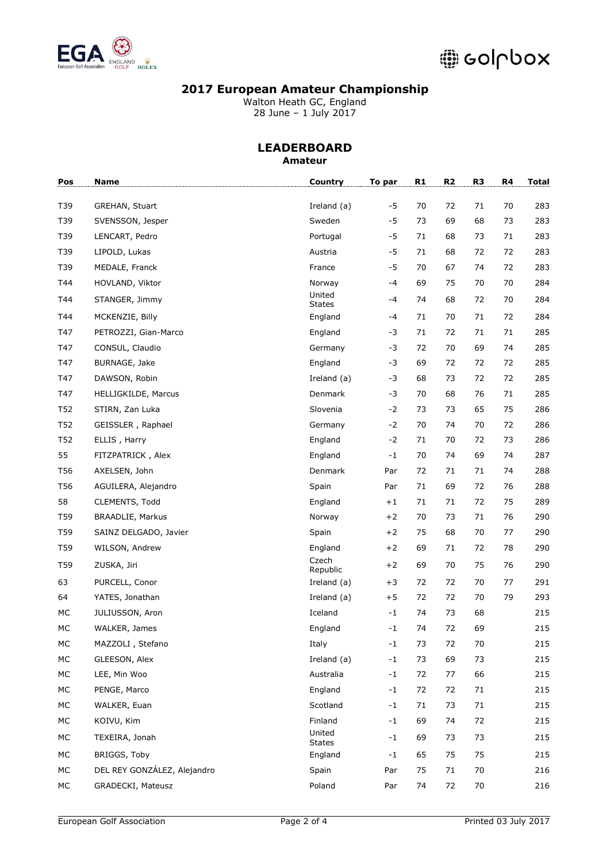

Walton Heath GC, England 28 June – 1 July 2017

### **LEADERBOARD Amateur**

| Pos             | <b>Name</b>                 | Country                 | To par | R1 | R2 | R <sub>3</sub> | R4 | <b>Total</b> |
|-----------------|-----------------------------|-------------------------|--------|----|----|----------------|----|--------------|
| T39             | GREHAN, Stuart              | Ireland (a)             | $-5$   | 70 | 72 | 71             | 70 | 283          |
| T39             | SVENSSON, Jesper            | Sweden                  | $-5$   | 73 | 69 | 68             | 73 | 283          |
| T39             | LENCART, Pedro              | Portugal                | $-5$   | 71 | 68 | 73             | 71 | 283          |
| T39             | LIPOLD, Lukas               | Austria                 | $-5$   | 71 | 68 | 72             | 72 | 283          |
|                 |                             |                         | $-5$   | 70 |    |                |    |              |
| T39             | MEDALE, Franck              | France                  | $-4$   |    | 67 | 74             | 72 | 283          |
| T44             | HOVLAND, Viktor             | Norway<br>United        |        | 69 | 75 | 70             | 70 | 284          |
| T44             | STANGER, Jimmy              | <b>States</b>           | -4     | 74 | 68 | 72             | 70 | 284          |
| T44             | MCKENZIE, Billy             | England                 | -4     | 71 | 70 | 71             | 72 | 284          |
| T47             | PETROZZI, Gian-Marco        | England                 | -3     | 71 | 72 | 71             | 71 | 285          |
| T47             | CONSUL, Claudio             | Germany                 | -3     | 72 | 70 | 69             | 74 | 285          |
| T47             | BURNAGE, Jake               | England                 | $-3$   | 69 | 72 | 72             | 72 | 285          |
| T47             | DAWSON, Robin               | Ireland (a)             | -3     | 68 | 73 | 72             | 72 | 285          |
| T47             | <b>HELLIGKILDE, Marcus</b>  | Denmark                 | -3     | 70 | 68 | 76             | 71 | 285          |
| T52             | STIRN, Zan Luka             | Slovenia                | $-2$   | 73 | 73 | 65             | 75 | 286          |
| T52             | GEISSLER, Raphael           | Germany                 | $-2$   | 70 | 74 | 70             | 72 | 286          |
| T52             | ELLIS, Harry                | England                 | $-2$   | 71 | 70 | 72             | 73 | 286          |
| 55              | FITZPATRICK, Alex           | England                 | $-1$   | 70 | 74 | 69             | 74 | 287          |
| T56             | AXELSEN, John               | Denmark                 | Par    | 72 | 71 | 71             | 74 | 288          |
| T56             | AGUILERA, Alejandro         | Spain                   | Par    | 71 | 69 | 72             | 76 | 288          |
| 58              | CLEMENTS, Todd              | England                 | $+1$   | 71 | 71 | 72             | 75 | 289          |
| T <sub>59</sub> | <b>BRAADLIE, Markus</b>     | Norway                  | $+2$   | 70 | 73 | 71             | 76 | 290          |
| T59             | SAINZ DELGADO, Javier       | Spain                   | $+2$   | 75 | 68 | 70             | 77 | 290          |
| T59             | WILSON, Andrew              | England                 | $+2$   | 69 | 71 | 72             | 78 | 290          |
| T59             | ZUSKA, Jiri                 | Czech<br>Republic       | $+2$   | 69 | 70 | 75             | 76 | 290          |
| 63              | PURCELL, Conor              | Ireland (a)             | $+3$   | 72 | 72 | 70             | 77 | 291          |
| 64              | YATES, Jonathan             | Ireland (a)             | $+5$   | 72 | 72 | 70             | 79 | 293          |
| MC              | JULIUSSON, Aron             | Iceland                 | $-1$   | 74 | 73 | 68             |    | 215          |
| MC              | WALKER, James               | England                 | -1     | 74 | 72 | 69             |    | 215          |
| МC              | MAZZOLI, Stefano            | Italy                   | $-1$   | 73 | 72 | 70             |    | 215          |
| MC              | GLEESON, Alex               | Ireland (a)             | $-1$   | 73 | 69 | 73             |    | 215          |
| MC              | LEE, Min Woo                | Australia               | $-1$   | 72 | 77 | 66             |    | 215          |
| MC              | PENGE, Marco                | England                 | $-1$   | 72 | 72 | 71             |    | 215          |
| MC              | WALKER, Euan                | Scotland                | $-1$   | 71 | 73 | 71             |    | 215          |
| МC              | KOIVU, Kim                  | Finland                 | -1     | 69 | 74 | 72             |    | 215          |
| МC              | TEXEIRA, Jonah              | United<br><b>States</b> | -1     | 69 | 73 | 73             |    | 215          |
| МC              | BRIGGS, Toby                | England                 | $-1$   | 65 | 75 | 75             |    | 215          |
| МC              | DEL REY GONZÁLEZ, Alejandro | Spain                   | Par    | 75 | 71 | 70             |    | 216          |
| МC              | GRADECKI, Mateusz           | Poland                  | Par    | 74 | 72 | 70             |    | 216          |
|                 |                             |                         |        |    |    |                |    |              |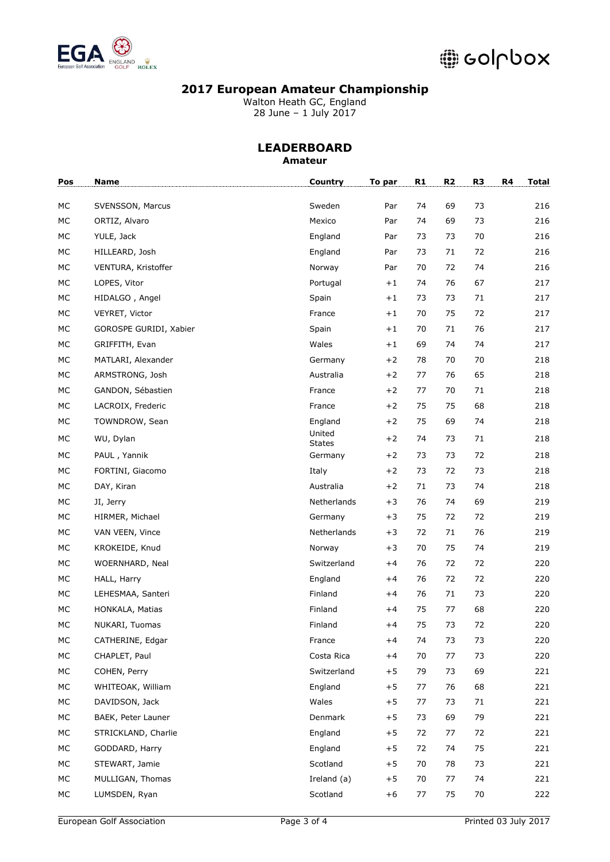

Walton Heath GC, England 28 June – 1 July 2017

#### **LEADERBOARD Amateur**

| Pos | Name                   | Country                 | To par | R1 | R <sub>2</sub> | R <sub>3</sub> | R4 | <b>Total</b> |
|-----|------------------------|-------------------------|--------|----|----------------|----------------|----|--------------|
| МC  | SVENSSON, Marcus       | Sweden                  | Par    | 74 | 69             | 73             |    | 216          |
| МC  | ORTIZ, Alvaro          | Mexico                  | Par    | 74 | 69             | 73             |    | 216          |
| МC  | YULE, Jack             | England                 | Par    | 73 | 73             | 70             |    | 216          |
| МC  | HILLEARD, Josh         | England                 | Par    | 73 | 71             | 72             |    | 216          |
| МC  | VENTURA, Kristoffer    | Norway                  | Par    | 70 | 72             | 74             |    | 216          |
| МC  | LOPES, Vitor           | Portugal                | $+1$   | 74 | 76             | 67             |    | 217          |
| МC  | HIDALGO, Angel         | Spain                   | $+1$   | 73 | 73             | 71             |    | 217          |
| МC  | VEYRET, Victor         | France                  | $+1$   | 70 | 75             | 72             |    | 217          |
| МC  | GOROSPE GURIDI, Xabier | Spain                   | $+1$   | 70 | 71             | 76             |    | 217          |
| МC  | GRIFFITH, Evan         | Wales                   | $+1$   | 69 | 74             | 74             |    | 217          |
| МC  | MATLARI, Alexander     | Germany                 | $+2$   | 78 | 70             | 70             |    | 218          |
| МC  | ARMSTRONG, Josh        | Australia               | $+2$   | 77 | 76             | 65             |    | 218          |
| МC  | GANDON, Sébastien      | France                  | $+2$   | 77 | 70             | 71             |    | 218          |
| МC  | LACROIX, Frederic      | France                  | $+2$   | 75 | 75             | 68             |    | 218          |
| МC  | TOWNDROW, Sean         | England                 | $+2$   | 75 | 69             | 74             |    | 218          |
| МC  | WU, Dylan              | United<br><b>States</b> | $+2$   | 74 | 73             | 71             |    | 218          |
| МC  | PAUL, Yannik           | Germany                 | $+2$   | 73 | 73             | 72             |    | 218          |
| МC  | FORTINI, Giacomo       | Italy                   | $+2$   | 73 | 72             | 73             |    | 218          |
| МC  | DAY, Kiran             | Australia               | $+2$   | 71 | 73             | 74             |    | 218          |
| МC  | JI, Jerry              | Netherlands             | $+3$   | 76 | 74             | 69             |    | 219          |
| МC  | HIRMER, Michael        | Germany                 | $+3$   | 75 | 72             | 72             |    | 219          |
| МC  | VAN VEEN, Vince        | Netherlands             | $+3$   | 72 | 71             | 76             |    | 219          |
| МC  | KROKEIDE, Knud         | Norway                  | $+3$   | 70 | 75             | 74             |    | 219          |
| МC  | WOERNHARD, Neal        | Switzerland             | $+4$   | 76 | 72             | 72             |    | 220          |
| МC  | HALL, Harry            | England                 | $+4$   | 76 | 72             | 72             |    | 220          |
| МC  | LEHESMAA, Santeri      | Finland                 | $+4$   | 76 | 71             | 73             |    | 220          |
| МC  | HONKALA, Matias        | Finland                 | $+4$   | 75 | 77             | 68             |    | 220          |
| МC  | NUKARI, Tuomas         | Finland                 | $+4$   | 75 | 73             | 72             |    | 220          |
| MC  | CATHERINE, Edgar       | France                  | $+4$   | 74 | 73             | 73             |    | 220          |
| МC  | CHAPLET, Paul          | Costa Rica              | $+4$   | 70 | 77             | 73             |    | 220          |
| МC  | COHEN, Perry           | Switzerland             | $+5$   | 79 | 73             | 69             |    | 221          |
| МC  | WHITEOAK, William      | England                 | $+5$   | 77 | 76             | 68             |    | 221          |
| МC  | DAVIDSON, Jack         | Wales                   | $+5$   | 77 | 73             | 71             |    | 221          |
| МC  | BAEK, Peter Launer     | Denmark                 | $+5$   | 73 | 69             | 79             |    | 221          |
| МC  | STRICKLAND, Charlie    | England                 | $+5$   | 72 | 77             | 72             |    | 221          |
| МC  | GODDARD, Harry         | England                 | $+5$   | 72 | 74             | 75             |    | 221          |
| МC  | STEWART, Jamie         | Scotland                | $+5$   | 70 | 78             | 73             |    | 221          |
| МC  | MULLIGAN, Thomas       | Ireland (a)             | $+5$   | 70 | 77             | 74             |    | 221          |
| МC  | LUMSDEN, Ryan          | Scotland                | $+6$   | 77 | 75             | 70             |    | 222          |